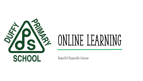

# Online Learning

**Respectful Responsible Inclusive**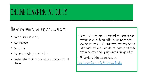### Online learning at duffy

**The online learning will support students to:**

- **Continue curriculum learning**
- **Apply knowledge**
- **Practise skills**
- **Stay connected with peers and teachers**
- **Complete online learning activites and tasks with the support of a teacher**
- **In these challenging times, it is important we provide as much continuity as possible for our children's education, no matter what the circumstances. ACT public schools are among the best in the country and we are committed to ensuring our students continue to receive a high-quality education during this time.**
- **ACT Directorate Online Learning Resources**

**[Home Learning Resources for Students and Families](https://sites.google.com/ed.act.edu.au/act-home-learning/resources-to-support-home-learning)**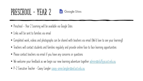#### PRESCHOOL - YEAR 2  $\Box$  Google Sites

- **Preschool - Year 2 Learning will be available via Google Sites**
- **Links will be sent to families via email**
- **Completed work, videos and photographs can be shared with teachers via email (We'd love to see your learning!)**
- **Teachers will contact students and families regularly and provide online face to face learning opportunities**
- **Please contact teachers via email if you have any concerns or questions**
- **We welcome your feedback as we begin our new learning adventure together [admin@duffyps.act.edu.au](mailto:admin@duffyps.act.edu.au)**
- **P-2 Executive Teacher – Casey Langler [casey-anne.langler@ed.act.edu.au](mailto:casey-anne.langler@ed.act.edu.au)**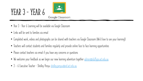



- Google Classroom
- **Year 3 – Year 6 Learning will be available via Google Classroom**
- **Links will be sent to families via email**
- **Completed work, videos and photographs can be shared with teachers via Google Classroom (We'd love to see your learning!)**
- **Teachers will contact students and families regularly and provide online face to face learning opportunities**
- **Please contact teachers via email if you have any concerns or questions**
- **We welcome your feedback as we begin our new learning adventure together [admin@duffyps.act.edu.au](mailto:admin@duffyps.act.edu.au)**
- **3 - 6 Executive Teacher – Shelley Penyu [shelley.penyu@ed.act.edu.au](mailto:shelley.penyu@ed.act.edu.au)**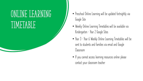### Online learning timetable

- **Preschool Online Learning will be updated fortnightly via Google Site**
- **Weekly Online Learning Timetables will be available via Kindergarten – Year 2 Google Sites**
- **Year 3 – Year 6 Weekly Online Learning Timetables will be sent to students and families via email and Google Classroom**
- **If you cannot access learning resources online please contact your classroom teacher**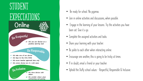

#### • **Be ready for school. No pyjamas.**

- **Join in online activities and discussions, when possible.**
- **Engage in the learning of your lessons. Try the activities you have been set. Give it a go.**
- **Complete the assigned activities and tasks.**
- **Share your learning with your teacher.**
- **Be polite to each other when interacting online.**
- **Encourage one another, this is going to be tricky at times.**
- **If in doubt, email a friend or your teacher.**
- **Uphold the Duffy school values – Respectful, Responsible & Inclusive.**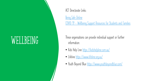### wellbeing

#### **ACT Directorate Links:**

**[Being Safe Online](https://www.education.act.gov.au/support-for-our-students/being-safe-online) COVID 19 - [Wellbeing Support Resources for Students and Families](https://www.education.act.gov.au/public-school-life/information-on-novel-coronavirus-covid-19)**

**These organisations can provide individual support or further information:**

- **Kids Help Line <https://kidshelpline.com.au/>**
- **Lifeline <https://www.lifeline.org.au/>**
- **Youth Beyond Blue <https://www.youthbeyondblue.com/>**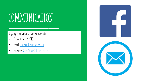## COMMUNICATION

#### **Ongoing communication can be made via**

- **Phone 02 6142 2510**
- **Email [admin@duffyps.act.edu.au](mailto:admin@duffyps.act.edu.au)**
- **Facebook [DuffyPrimarySchoolFacebook](https://www.facebook.com/pages/category/Education/Duffy-Primary-School-342374405859620/)**